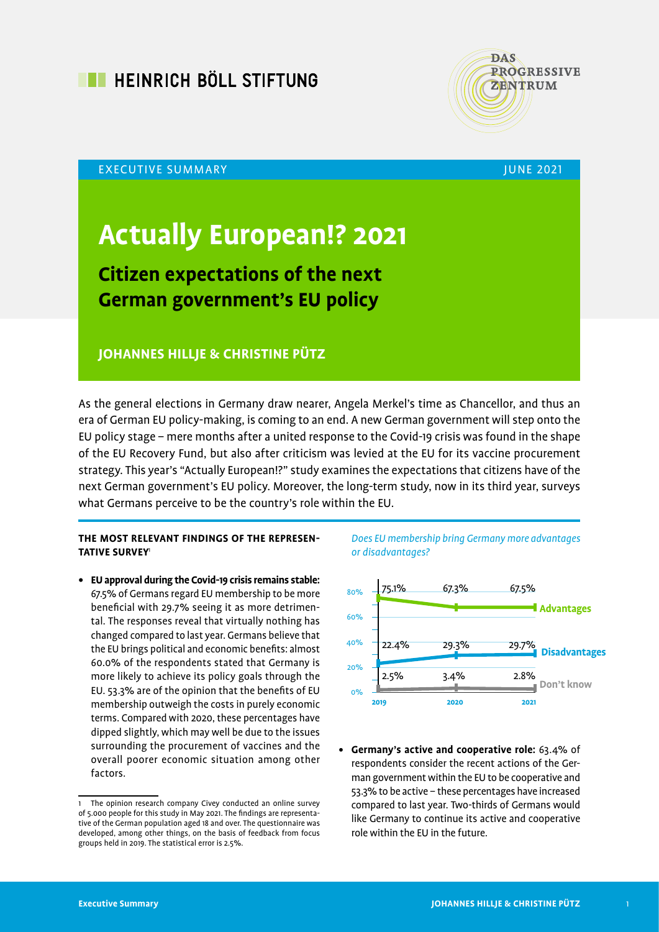



#### EXECUTIVE SUMMARY AND RESERVE THE RESERVE THAT IS A RESERVE TO A RESERVE THE RESERVE THAT IS A RESERVE THAT IS

# **Actually European!? 2021**

## **Citizen expectations of the next German government's EU policy**

### **JOHANNES HILLJE & CHRISTINE PÜTZ**

As the general elections in Germany draw nearer, Angela Merkel's time as Chancellor, and thus an era of German EU policy-making, is coming to an end. A new German government will step onto the EU policy stage – mere months after a united response to the Covid-19 crisis was found in the shape of the EU Recovery Fund, but also after criticism was levied at the EU for its vaccine procurement strategy. This year's "Actually European!?" study examines the expectations that citizens have of the next German government's EU policy. Moreover, the long-term study, now in its third year, surveys what Germans perceive to be the country's role within the EU.

#### **THE MOST RELEVANT FINDINGS OF THE REPRESEN-TATIVE SURVEY**<sup>1</sup>

**• EU approval during the Covid-19 crisis remains stable:** 67.5% of Germans regard EU membership to be more beneficial with 29.7% seeing it as more detrimental. The responses reveal that virtually nothing has changed compared to last year. Germans believe that the EU brings political and economic benefits: almost 60.0% of the respondents stated that Germany is more likely to achieve its policy goals through the EU. 53.3% are of the opinion that the benefits of EU membership outweigh the costs in purely economic terms. Compared with 2020, these percentages have dipped slightly, which may well be due to the issues surrounding the procurement of vaccines and the overall poorer economic situation among other factors.





**• Germany's active and cooperative role:** 63.4% of respondents consider the recent actions of the German government within the EU to be cooperative and 53.3% to be active – these percentages have increased compared to last year. Two-thirds of Germans would like Germany to continue its active and cooperative role within the EU in the future.

The opinion research company Civey conducted an online survey of 5.000 people for this study in May 2021. The findings are representative of the German population aged 18 and over. The questionnaire was developed, among other things, on the basis of feedback from focus groups held in 2019. The statistical error is 2.5%.